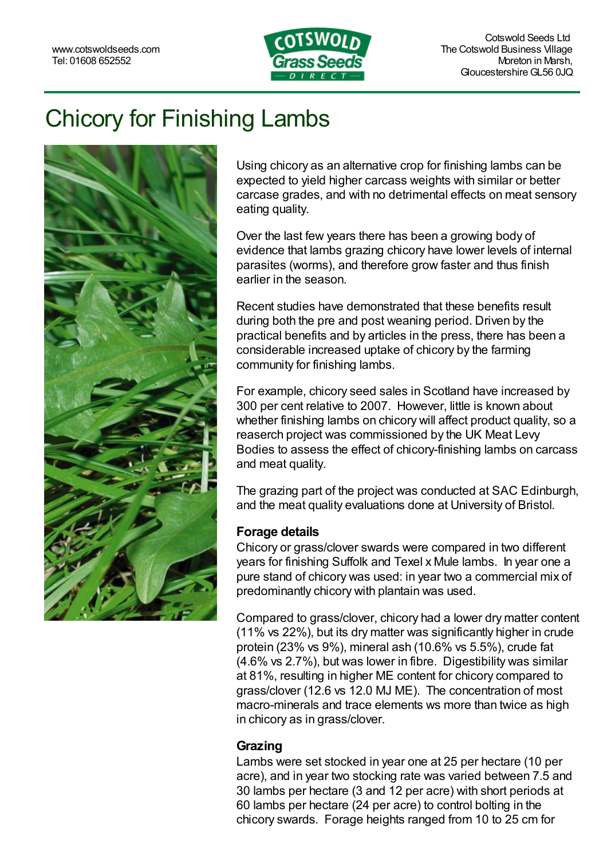

# Chicory for Finishing Lambs



Using chicory as an alternative crop for finishing lambs can be expected to yield higher carcass weights with similar or better carcase grades, and with no detrimental effects on meat sensory eating quality.

Over the last few years there has been a growing body of evidence that lambs grazing [chicory](https://www.cotswoldseeds.com/products/1193/chicory-grazing-ley) have lower levels of internal parasites (worms), and therefore grow faster and thus finish earlier in the season.

Recent studies have demonstrated that these benefits result during both the pre and post weaning period. Driven by the practical benefits and by articles in the press, there has been a considerable increased uptake of chicory by the farming community for finishing lambs.

For example, chicory seed sales in Scotland have increased by 300 per cent relative to 2007. However, little is known about whether finishing lambs on chicory will affect product quality, so a reaserch project was commissioned by the UK Meat Levy Bodies to assess the effect of chicory-finishing lambs on carcass and meat quality.

The grazing part of the project was conducted at SAC Edinburgh, and the meat quality evaluations done at University of Bristol.

## **Forage details**

Chicory or grass/clover swards were compared in two different years for finishing Suffolk and Texel x Mule lambs. In year one a pure stand of chicory was used: in year two a commercial mix of predominantly chicory with plantain was used.

Compared to grass/clover, chicory had a lower dry matter content (11% vs 22%), but its dry matter was significantly higher in crude protein (23% vs 9%), mineral ash (10.6% vs 5.5%), crude fat (4.6% vs 2.7%), but was lower in fibre. Digestibility was similar at 81%, resulting in higher ME content for chicory compared to grass/clover (12.6 vs 12.0 MJ ME). The concentration of most macro-minerals and trace elements ws more than twice as high in chicory as in grass/clover.

#### **Grazing**

Lambs were set stocked in year one at 25 per hectare (10 per acre), and in year two stocking rate was varied between 7.5 and 30 lambs per hectare (3 and 12 per acre) with short periods at 60 lambs per hectare (24 per acre) to control bolting in the chicory swards. Forage heights ranged from 10 to 25 cm for